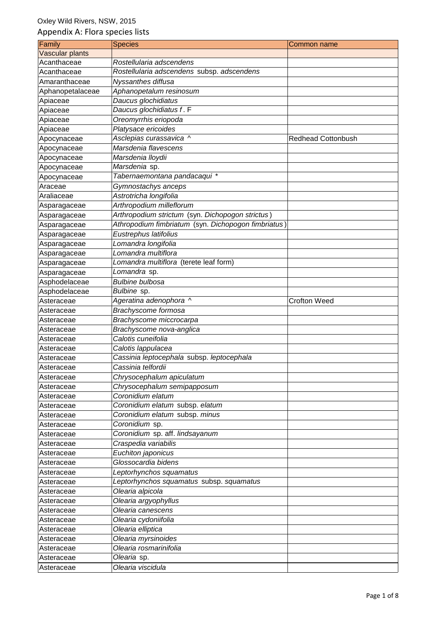| Family           | <b>Species</b>                                      | Common name               |
|------------------|-----------------------------------------------------|---------------------------|
| Vascular plants  |                                                     |                           |
| Acanthaceae      | Rostellularia adscendens                            |                           |
| Acanthaceae      | Rostellularia adscendens subsp. adscendens          |                           |
| Amaranthaceae    | Nyssanthes diffusa                                  |                           |
| Aphanopetalaceae | Aphanopetalum resinosum                             |                           |
| Apiaceae         | Daucus glochidiatus                                 |                           |
| Apiaceae         | Daucus glochidiatus f. F                            |                           |
| Apiaceae         | Oreomyrrhis eriopoda                                |                           |
| Apiaceae         | Platysace ericoides                                 |                           |
| Apocynaceae      | Asclepias curassavica ^                             | <b>Redhead Cottonbush</b> |
| Apocynaceae      | Marsdenia flavescens                                |                           |
| Apocynaceae      | Marsdenia lloydii                                   |                           |
| Apocynaceae      | Marsdenia sp.                                       |                           |
| Apocynaceae      | Tabernaemontana pandacaqui *                        |                           |
| Araceae          | Gymnostachys anceps                                 |                           |
| Araliaceae       | Astrotricha longifolia                              |                           |
| Asparagaceae     | Arthropodium milleflorum                            |                           |
| Asparagaceae     | Arthropodium strictum (syn. Dichopogon strictus)    |                           |
| Asparagaceae     | Athropodium fimbriatum (syn. Dichopogon fimbriatus) |                           |
| Asparagaceae     | Eustrephus latifolius                               |                           |
| Asparagaceae     | Lomandra longifolia                                 |                           |
| Asparagaceae     | Lomandra multiflora                                 |                           |
| Asparagaceae     | Lomandra multiflora (terete leaf form)              |                           |
| Asparagaceae     | Lomandra sp.                                        |                           |
| Asphodelaceae    | <b>Bulbine bulbosa</b>                              |                           |
| Asphodelaceae    | Bulbine sp.                                         |                           |
| Asteraceae       | Ageratina adenophora ^                              | <b>Crofton Weed</b>       |
| Asteraceae       | Brachyscome formosa                                 |                           |
| Asteraceae       | Brachyscome miccrocarpa                             |                           |
| Asteraceae       | Brachyscome nova-anglica                            |                           |
| Asteraceae       | Calotis cuneifolia                                  |                           |
| Asteraceae       | Calotis lappulacea                                  |                           |
| Asteraceae       | Cassinia leptocephala subsp. leptocephala           |                           |
| Asteraceae       | Cassinia telfordii                                  |                           |
| Asteraceae       | Chrysocephalum apiculatum                           |                           |
| Asteraceae       | Chrysocephalum semipapposum                         |                           |
| Asteraceae       | Coronidium elatum                                   |                           |
| Asteraceae       | Coronidium elatum subsp. elatum                     |                           |
| Asteraceae       | Coronidium elatum subsp. minus                      |                           |
| Asteraceae       | Coronidium sp.                                      |                           |
| Asteraceae       | Coronidium sp. aff. lindsayanum                     |                           |
| Asteraceae       | Craspedia variabilis                                |                           |
| Asteraceae       | Euchiton japonicus                                  |                           |
| Asteraceae       | Glossocardia bidens                                 |                           |
| Asteraceae       | Leptorhynchos squamatus                             |                           |
| Asteraceae       | Leptorhynchos squamatus subsp. squamatus            |                           |
| Asteraceae       | Olearia alpicola                                    |                           |
| Asteraceae       | Olearia argyophyllus                                |                           |
| Asteraceae       | Olearia canescens                                   |                           |
| Asteraceae       | Olearia cydoniifolia                                |                           |
| Asteraceae       | Olearia elliptica                                   |                           |
| Asteraceae       | Olearia myrsinoides                                 |                           |
| Asteraceae       | Olearia rosmarinifolia                              |                           |
| Asteraceae       | Olearia sp.                                         |                           |
| Asteraceae       | Olearia viscidula                                   |                           |
|                  |                                                     |                           |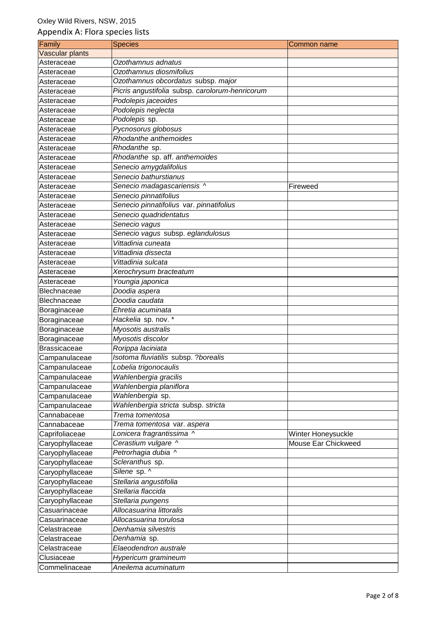| Family              | <b>Species</b>                                  | Common name         |
|---------------------|-------------------------------------------------|---------------------|
| Vascular plants     |                                                 |                     |
| Asteraceae          | Ozothamnus adnatus                              |                     |
| Asteraceae          | Ozothamnus diosmifolius                         |                     |
| Asteraceae          | Ozothamnus obcordatus subsp. major              |                     |
| Asteraceae          | Picris angustifolia subsp. carolorum-henricorum |                     |
| Asteraceae          | Podolepis jaceoides                             |                     |
| Asteraceae          | Podolepis neglecta                              |                     |
| Asteraceae          | Podolepis sp.                                   |                     |
| Asteraceae          | Pycnosorus globosus                             |                     |
| Asteraceae          | Rhodanthe anthemoides                           |                     |
| Asteraceae          | Rhodanthe sp.                                   |                     |
| Asteraceae          | Rhodanthe sp. aff. anthemoides                  |                     |
| Asteraceae          | Senecio amygdalifolius                          |                     |
| Asteraceae          | Senecio bathurstianus                           |                     |
| Asteraceae          | Senecio madagascariensis ^                      | Fireweed            |
| Asteraceae          | Senecio pinnatifolius                           |                     |
| Asteraceae          | Senecio pinnatifolius var. pinnatifolius        |                     |
| Asteraceae          | Senecio quadridentatus                          |                     |
| Asteraceae          | Senecio vagus                                   |                     |
| Asteraceae          | Senecio vagus subsp. eglandulosus               |                     |
| Asteraceae          | Vittadinia cuneata                              |                     |
| Asteraceae          | Vittadinia dissecta                             |                     |
| Asteraceae          | Vittadinia sulcata                              |                     |
| Asteraceae          | Xerochrysum bracteatum                          |                     |
| Asteraceae          | Youngia japonica                                |                     |
| Blechnaceae         | Doodia aspera                                   |                     |
| <b>Blechnaceae</b>  | Doodia caudata                                  |                     |
| Boraginaceae        | Ehretia acuminata                               |                     |
| Boraginaceae        | Hackelia sp. nov. *                             |                     |
| Boraginaceae        | Myosotis australis                              |                     |
| Boraginaceae        | Myosotis discolor                               |                     |
| <b>Brassicaceae</b> | Rorippa laciniata                               |                     |
| Campanulaceae       | Isotoma fluviatilis subsp. ? borealis           |                     |
| Campanulaceae       | Lobelia trigonocaulis                           |                     |
| Campanulaceae       | Wahlenbergia gracilis                           |                     |
| Campanulaceae       | Wahlenbergia planiflora                         |                     |
| Campanulaceae       | Wahlenbergia sp.                                |                     |
| Campanulaceae       | Wahlenbergia stricta subsp. stricta             |                     |
| Cannabaceae         | Trema tomentosa                                 |                     |
| Cannabaceae         | Trema tomentosa var. aspera                     |                     |
| Caprifoliaceae      | Lonicera fragrantissima ^                       | Winter Honeysuckle  |
| Caryophyllaceae     | Cerastium vulgare ^                             | Mouse Ear Chickweed |
| Caryophyllaceae     | Petrorhagia dubia ^                             |                     |
| Caryophyllaceae     | Scleranthus sp.                                 |                     |
| Caryophyllaceae     | Silene sp. ^                                    |                     |
| Caryophyllaceae     | Stellaria angustifolia                          |                     |
| Caryophyllaceae     | Stellaria flaccida                              |                     |
| Caryophyllaceae     | Stellaria pungens                               |                     |
| Casuarinaceae       | Allocasuarina littoralis                        |                     |
| Casuarinaceae       | Allocasuarina torulosa                          |                     |
| Celastraceae        | Denhamia silvestris                             |                     |
| Celastraceae        | Denhamia sp.                                    |                     |
| Celastraceae        | Elaeodendron australe                           |                     |
| Clusiaceae          | Hypericum gramineum                             |                     |
| Commelinaceae       | Aneilema acuminatum                             |                     |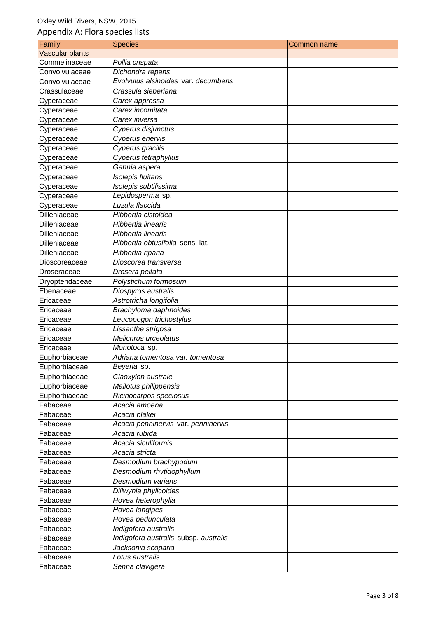| Family              | <b>Species</b>                        | Common name |
|---------------------|---------------------------------------|-------------|
| Vascular plants     |                                       |             |
| Commelinaceae       | Pollia crispata                       |             |
| Convolvulaceae      | Dichondra repens                      |             |
| Convolvulaceae      | Evolvulus alsinoides var. decumbens   |             |
| Crassulaceae        | Crassula sieberiana                   |             |
| Cyperaceae          | Carex appressa                        |             |
| Cyperaceae          | Carex incomitata                      |             |
| Cyperaceae          | Carex inversa                         |             |
| Cyperaceae          | Cyperus disjunctus                    |             |
| Cyperaceae          | Cyperus enervis                       |             |
| Cyperaceae          | Cyperus gracilis                      |             |
| Cyperaceae          | Cyperus tetraphyllus                  |             |
| Cyperaceae          | Gahnia aspera                         |             |
| Cyperaceae          | Isolepis fluitans                     |             |
| Cyperaceae          | Isolepis subtilissima                 |             |
| Cyperaceae          | Lepidosperma sp.                      |             |
| Cyperaceae          | Luzula flaccida                       |             |
| Dilleniaceae        | Hibbertia cistoidea                   |             |
| Dilleniaceae        | Hibbertia linearis                    |             |
| <b>Dilleniaceae</b> | Hibbertia linearis                    |             |
| Dilleniaceae        | Hibbertia obtusifolia sens. lat.      |             |
| Dilleniaceae        | Hibbertia riparia                     |             |
| Dioscoreaceae       | Dioscorea transversa                  |             |
| Droseraceae         | Drosera peltata                       |             |
| Dryopteridaceae     | Polystichum formosum                  |             |
| Ebenaceae           | Diospyros australis                   |             |
| Ericaceae           | Astrotricha longifolia                |             |
| Ericaceae           | Brachyloma daphnoides                 |             |
| Ericaceae           | Leucopogon trichostylus               |             |
| Ericaceae           | Lissanthe strigosa                    |             |
| Ericaceae           | Melichrus urceolatus                  |             |
| Ericaceae           | Monotoca sp.                          |             |
| Euphorbiaceae       | Adriana tomentosa var. tomentosa      |             |
| Euphorbiaceae       | Beyeria sp.                           |             |
| Euphorbiaceae       | Claoxylon australe                    |             |
| Euphorbiaceae       | Mallotus philippensis                 |             |
| Euphorbiaceae       | Ricinocarpos speciosus                |             |
| Fabaceae            | Acacia amoena                         |             |
| Fabaceae            | Acacia blakei                         |             |
| Fabaceae            | Acacia penninervis var. penninervis   |             |
| Fabaceae            | Acacia rubida                         |             |
| Fabaceae            | Acacia siculiformis                   |             |
| Fabaceae            | Acacia stricta                        |             |
| Fabaceae            | Desmodium brachypodum                 |             |
| Fabaceae            | Desmodium rhytidophyllum              |             |
| Fabaceae            | Desmodium varians                     |             |
| Fabaceae            | Dillwynia phylicoides                 |             |
| Fabaceae            | Hovea heterophylla                    |             |
| Fabaceae            | Hovea longipes                        |             |
| Fabaceae            | Hovea pedunculata                     |             |
| Fabaceae            | Indigofera australis                  |             |
| Fabaceae            | Indigofera australis subsp. australis |             |
| Fabaceae            | Jacksonia scoparia                    |             |
| Fabaceae            | Lotus australis                       |             |
| Fabaceae            | Senna clavigera                       |             |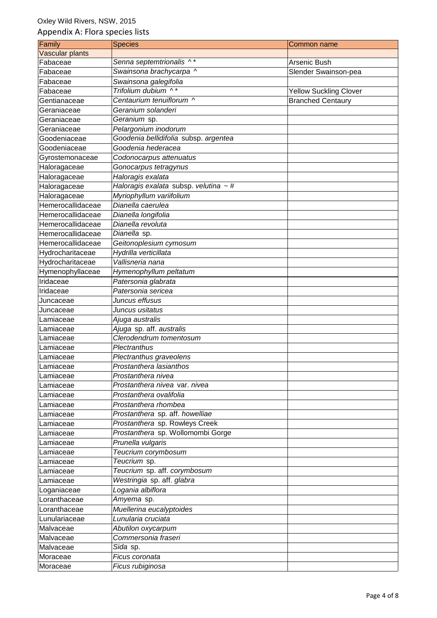| Family                 | <b>Species</b>                             | Common name                   |
|------------------------|--------------------------------------------|-------------------------------|
| <b>Vascular plants</b> |                                            |                               |
| Fabaceae               | Senna septemtrionalis ^*                   | Arsenic Bush                  |
| Fabaceae               | Swainsona brachycarpa ^                    | Slender Swainson-pea          |
| Fabaceae               | Swainsona galegifolia                      |                               |
| Fabaceae               | Trifolium dubium ^*                        | <b>Yellow Suckling Clover</b> |
| Gentianaceae           | Centaurium tenuiflorum ^                   | <b>Branched Centaury</b>      |
| Geraniaceae            | Geranium solanderi                         |                               |
| Geraniaceae            | Geranium sp.                               |                               |
| Geraniaceae            | Pelargonium inodorum                       |                               |
| Goodeniaceae           | Goodenia bellidifolia subsp. argentea      |                               |
| Goodeniaceae           | Goodenia hederacea                         |                               |
| Gyrostemonaceae        | Codonocarpus attenuatus                    |                               |
| Haloragaceae           | Gonocarpus tetragynus                      |                               |
| Haloragaceae           | Haloragis exalata                          |                               |
| Haloragaceae           | Haloragis exalata subsp. velutina $\sim$ # |                               |
| Haloragaceae           | Myriophyllum variifolium                   |                               |
| Hemerocallidaceae      | Dianella caerulea                          |                               |
| Hemerocallidaceae      | Dianella longifolia                        |                               |
| Hemerocallidaceae      | Dianella revoluta                          |                               |
| Hemerocallidaceae      | Dianella sp.                               |                               |
| Hemerocallidaceae      | Geitonoplesium cymosum                     |                               |
| Hydrocharitaceae       | Hydrilla verticillata                      |                               |
| Hydrocharitaceae       | Vallisneria nana                           |                               |
| Hymenophyllaceae       | Hymenophyllum peltatum                     |                               |
| Iridaceae              | Patersonia glabrata                        |                               |
| Iridaceae              | Patersonia sericea                         |                               |
| Juncaceae              | Juncus effusus                             |                               |
| Juncaceae              | Juncus usitatus                            |                               |
| Lamiaceae              | Ajuga australis                            |                               |
| Lamiaceae              | Ajuga sp. aff. australis                   |                               |
| Lamiaceae              | Clerodendrum tomentosum                    |                               |
| Lamiaceae              | Plectranthus                               |                               |
| Lamiaceae              | Plectranthus graveolens                    |                               |
| Lamiaceae              | Prostanthera lasianthos                    |                               |
| Lamiaceae              | Prostanthera nivea                         |                               |
| Lamiaceae              | Prostanthera nivea var. nivea              |                               |
| Lamiaceae              | Prostanthera ovalifolia                    |                               |
| Lamiaceae              | Prostanthera rhombea                       |                               |
| Lamiaceae              | Prostanthera sp. aff. howelliae            |                               |
| Lamiaceae              | Prostanthera sp. Rowleys Creek             |                               |
| Lamiaceae              | Prostanthera sp. Wollomombi Gorge          |                               |
| Lamiaceae              | Prunella vulgaris                          |                               |
| Lamiaceae              | Teucrium corymbosum                        |                               |
| Lamiaceae              | Teucrium sp.                               |                               |
| Lamiaceae              | Teucrium sp. aff. corymbosum               |                               |
| Lamiaceae              | Westringia sp. aff. glabra                 |                               |
| Loganiaceae            | Logania albiflora                          |                               |
| Loranthaceae           | Amyema sp.                                 |                               |
| Loranthaceae           | Muellerina eucalyptoides                   |                               |
| Lunulariaceae          | Lunularia cruciata                         |                               |
| Malvaceae              | Abutilon oxycarpum                         |                               |
| Malvaceae              | Commersonia fraseri                        |                               |
| Malvaceae              | Sida sp.                                   |                               |
| Moraceae               | Ficus coronata                             |                               |
| Moraceae               | Ficus rubiginosa                           |                               |
|                        |                                            |                               |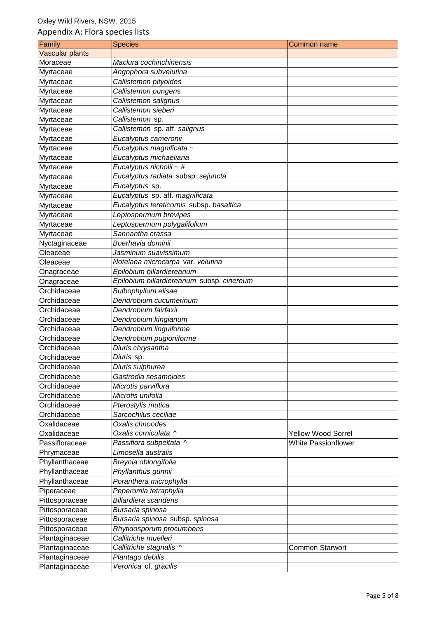| Family          | <b>Species</b>                            | Common name                |
|-----------------|-------------------------------------------|----------------------------|
| Vascular plants |                                           |                            |
| Moraceae        | Maclura cochinchinensis                   |                            |
| Myrtaceae       | Angophora subvelutina                     |                            |
| Myrtaceae       | Callistemon pityoides                     |                            |
| Myrtaceae       | Callistemon pungens                       |                            |
| Myrtaceae       | Callistemon salignus                      |                            |
| Myrtaceae       | Callistemon sieberi                       |                            |
| Myrtaceae       | Callistemon sp.                           |                            |
| Myrtaceae       | Callistemon sp. aff. salignus             |                            |
| Myrtaceae       | Eucalyptus cameronii                      |                            |
| Myrtaceae       | Eucalyptus magnificata ~                  |                            |
| Myrtaceae       | Eucalyptus michaeliana                    |                            |
| Myrtaceae       | Eucalyptus nicholii ~ #                   |                            |
| Myrtaceae       | Eucalyptus radiata subsp. sejuncta        |                            |
| Myrtaceae       | Eucalyptus sp.                            |                            |
| Myrtaceae       | Eucalyptus sp. aff. magnificata           |                            |
| Myrtaceae       | Eucalyptus tereticornis subsp. basaltica  |                            |
| Myrtaceae       | Leptospermum brevipes                     |                            |
| Myrtaceae       | Leptospermum polygalifolium               |                            |
| Myrtaceae       | Sannantha crassa                          |                            |
| Nyctaginaceae   | Boerhavia dominii                         |                            |
| Oleaceae        | Jasminum suavissimum                      |                            |
| Oleaceae        | Notelaea microcarpa var. velutina         |                            |
| Onagraceae      | Epilobium billardiereanum                 |                            |
| Onagraceae      | Epilobium billardiereanum subsp. cinereum |                            |
| Orchidaceae     | Bulbophyllum elisae                       |                            |
| Orchidaceae     | Dendrobium cucumerinum                    |                            |
| Orchidaceae     | Dendrobium fairfaxii                      |                            |
| Orchidaceae     | Dendrobium kingianum                      |                            |
| Orchidaceae     | Dendrobium linguiforme                    |                            |
| Orchidaceae     | Dendrobium pugioniforme                   |                            |
| Orchidaceae     | Diuris chrysantha                         |                            |
| Orchidaceae     | Diuris sp.                                |                            |
| Orchidaceae     | Diuris sulphurea                          |                            |
| Orchidaceae     | Gastrodia sesamoides                      |                            |
| Orchidaceae     | Microtis parviflora                       |                            |
| Orchidaceae     | Microtis unifolia                         |                            |
| Orchidaceae     | Pterostylis mutica                        |                            |
| Orchidaceae     | Sarcochilus ceciliae                      |                            |
| Oxalidaceae     | Oxalis chnoodes                           |                            |
| Oxalidaceae     | Oxalis corniculata ^                      | <b>Yellow Wood Sorrel</b>  |
| Passifloraceae  | Passiflora subpeltata ^                   | <b>White Passionflower</b> |
| Phrymaceae      | Limosella australis                       |                            |
| Phyllanthaceae  | Breynia oblongifolia                      |                            |
| Phyllanthaceae  | Phyllanthus gunnii                        |                            |
| Phyllanthaceae  | Poranthera microphylla                    |                            |
| Piperaceae      | Peperomia tetraphylla                     |                            |
| Pittosporaceae  | <b>Billardiera scandens</b>               |                            |
| Pittosporaceae  | Bursaria spinosa                          |                            |
| Pittosporaceae  | Bursaria spinosa subsp. spinosa           |                            |
| Pittosporaceae  | Rhytidosporum procumbens                  |                            |
| Plantaginaceae  | Callitriche muelleri                      |                            |
| Plantaginaceae  | Callitriche stagnalis ^                   | Common Starwort            |
| Plantaginaceae  | Plantago debilis                          |                            |
| Plantaginaceae  | Veronica cf. gracilis                     |                            |
|                 |                                           |                            |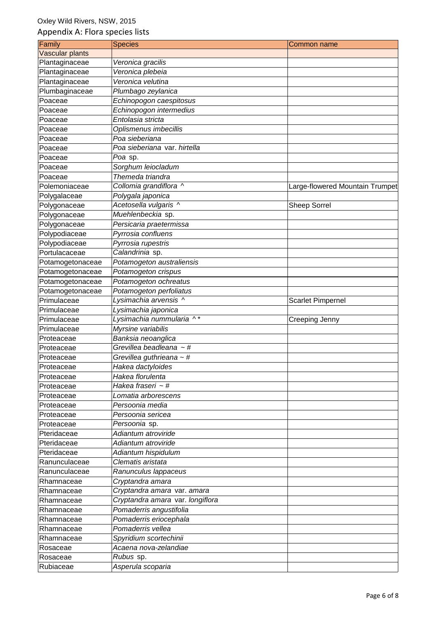| Family           | <b>Species</b>                   | Common name                     |
|------------------|----------------------------------|---------------------------------|
| Vascular plants  |                                  |                                 |
| Plantaginaceae   | Veronica gracilis                |                                 |
| Plantaginaceae   | Veronica plebeia                 |                                 |
| Plantaginaceae   | Veronica velutina                |                                 |
| Plumbaginaceae   | Plumbago zeylanica               |                                 |
| Poaceae          | Echinopogon caespitosus          |                                 |
| Poaceae          | Echinopogon intermedius          |                                 |
| Poaceae          | Entolasia stricta                |                                 |
| Poaceae          | Oplismenus imbecillis            |                                 |
| Poaceae          | Poa sieberiana                   |                                 |
| Poaceae          | Poa sieberiana var. hirtella     |                                 |
| Poaceae          | Poa sp.                          |                                 |
| Poaceae          | Sorghum leiocladum               |                                 |
| Poaceae          | Themeda triandra                 |                                 |
| Polemoniaceae    | Collomia grandiflora ^           | Large-flowered Mountain Trumpet |
| Polygalaceae     | Polygala japonica                |                                 |
| Polygonaceae     | Acetosella vulgaris ^            | <b>Sheep Sorrel</b>             |
| Polygonaceae     | Muehlenbeckia sp.                |                                 |
| Polygonaceae     | Persicaria praetermissa          |                                 |
| Polypodiaceae    | Pyrrosia confluens               |                                 |
| Polypodiaceae    | Pyrrosia rupestris               |                                 |
| Portulacaceae    | Calandrinia sp.                  |                                 |
| Potamogetonaceae | Potamogeton australiensis        |                                 |
| Potamogetonaceae | Potamogeton crispus              |                                 |
| Potamogetonaceae | Potamogeton ochreatus            |                                 |
| Potamogetonaceae | Potamogeton perfoliatus          |                                 |
| Primulaceae      | Lysimachia arvensis ^            | <b>Scarlet Pimpernel</b>        |
| Primulaceae      | Lysimachia japonica              |                                 |
| Primulaceae      | Lysimachia nummularia ^*         | Creeping Jenny                  |
| Primulaceae      | Myrsine variabilis               |                                 |
| Proteaceae       | Banksia neoanglica               |                                 |
| Proteaceae       | Grevillea beadleana $\sim$ #     |                                 |
| Proteaceae       | Grevillea guthrieana ~ #         |                                 |
| Proteaceae       | Hakea dactyloides                |                                 |
| Proteaceae       | Hakea florulenta                 |                                 |
| Proteaceae       | Hakea fraseri ~ #                |                                 |
| Proteaceae       | Lomatia arborescens              |                                 |
| Proteaceae       | Persoonia media                  |                                 |
| Proteaceae       | Persoonia sericea                |                                 |
| Proteaceae       | Persoonia sp.                    |                                 |
| Pteridaceae      | Adiantum atroviride              |                                 |
| Pteridaceae      | Adiantum atroviride              |                                 |
| Pteridaceae      | Adiantum hispidulum              |                                 |
| Ranunculaceae    | Clematis aristata                |                                 |
| Ranunculaceae    | Ranunculus lappaceus             |                                 |
| Rhamnaceae       | Cryptandra amara                 |                                 |
| Rhamnaceae       | Cryptandra amara var. amara      |                                 |
| Rhamnaceae       | Cryptandra amara var. longiflora |                                 |
| Rhamnaceae       | Pomaderris angustifolia          |                                 |
| Rhamnaceae       | Pomaderris eriocephala           |                                 |
| Rhamnaceae       | Pomaderris vellea                |                                 |
| Rhamnaceae       | Spyridium scortechinii           |                                 |
| Rosaceae         | Acaena nova-zelandiae            |                                 |
| Rosaceae         | Rubus sp.                        |                                 |
| Rubiaceae        | Asperula scoparia                |                                 |
|                  |                                  |                                 |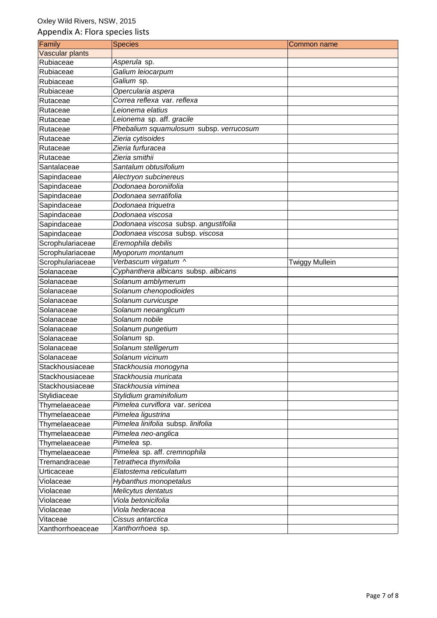| Family           | <b>Species</b>                          | Common name    |
|------------------|-----------------------------------------|----------------|
| Vascular plants  |                                         |                |
| Rubiaceae        | Asperula sp.                            |                |
| Rubiaceae        | Galium leiocarpum                       |                |
| Rubiaceae        | Galium sp.                              |                |
| Rubiaceae        | Opercularia aspera                      |                |
| Rutaceae         | Correa reflexa var. reflexa             |                |
| Rutaceae         | Leionema elatius                        |                |
| Rutaceae         | Leionema sp. aff. gracile               |                |
| Rutaceae         | Phebalium squamulosum subsp. verrucosum |                |
| Rutaceae         | Zieria cytisoides                       |                |
| Rutaceae         | Zieria furfuracea                       |                |
| Rutaceae         | Zieria smithii                          |                |
| Santalaceae      | Santalum obtusifolium                   |                |
| Sapindaceae      | Alectryon subcinereus                   |                |
| Sapindaceae      | Dodonaea boroniifolia                   |                |
| Sapindaceae      | Dodonaea serratifolia                   |                |
| Sapindaceae      | Dodonaea triquetra                      |                |
| Sapindaceae      | Dodonaea viscosa                        |                |
| Sapindaceae      | Dodonaea viscosa subsp. angustifolia    |                |
| Sapindaceae      | Dodonaea viscosa subsp. viscosa         |                |
| Scrophulariaceae | Eremophila debilis                      |                |
| Scrophulariaceae | Myoporum montanum                       |                |
| Scrophulariaceae | Verbascum virgatum ^                    | Twiggy Mullein |
| Solanaceae       | Cyphanthera albicans subsp. albicans    |                |
| Solanaceae       | Solanum amblymerum                      |                |
| Solanaceae       | Solanum chenopodioides                  |                |
| Solanaceae       | Solanum curvicuspe                      |                |
| Solanaceae       | Solanum neoanglicum                     |                |
| Solanaceae       | Solanum nobile                          |                |
| Solanaceae       | Solanum pungetium                       |                |
| Solanaceae       | Solanum sp.                             |                |
| Solanaceae       | Solanum stelligerum                     |                |
| Solanaceae       | Solanum vicinum                         |                |
| Stackhousiaceae  | Stackhousia monogyna                    |                |
| Stackhousiaceae  | Stackhousia muricata                    |                |
| Stackhousiaceae  | Stackhousia viminea                     |                |
| Stylidiaceae     | Stylidium graminifolium                 |                |
| Thymelaeaceae    | Pimelea curviflora var. sericea         |                |
| Thymelaeaceae    | Pimelea ligustrina                      |                |
| Thymelaeaceae    | Pimelea linifolia subsp. linifolia      |                |
| Thymelaeaceae    | Pimelea neo-anglica                     |                |
| Thymelaeaceae    | Pimelea sp.                             |                |
| Thymelaeaceae    | Pimelea sp. aff. cremnophila            |                |
| Tremandraceae    | Tetratheca thymifolia                   |                |
| Urticaceae       | Elatostema reticulatum                  |                |
| Violaceae        | Hybanthus monopetalus                   |                |
| Violaceae        | Melicytus dentatus                      |                |
| Violaceae        | Viola betonicifolia                     |                |
| Violaceae        | Viola hederacea                         |                |
| Vitaceae         | Cissus antarctica                       |                |
| Xanthorrhoeaceae | Xanthorrhoea sp.                        |                |